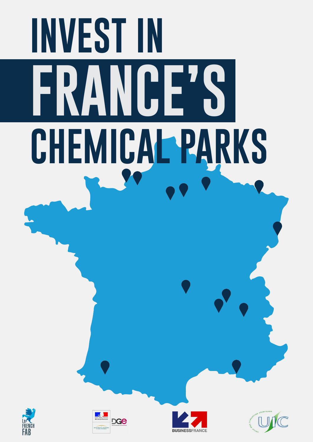# **INVEST IN FRANCE'S CHEMICAL PARKS**







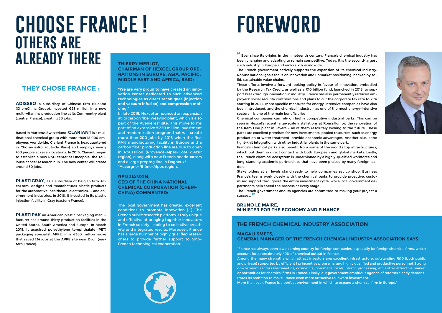### **CHAIRMAN OF HEXCEL GROUP OPE-RATIONS IN EUROPE, ASIA, PACIFIC, MIDDLE EAST AND AFRICA, SAID:**

**"We are very proud to have created an innovation center dedicated to such advanced technologies as direct techniques (injection and vacuum infusion) and compression molding,"** 

In late 2016, Hexcel announced an expansion at its carbon fiber weaving plant, which is also part of the Avenières\* site. This move forms part of an extensive €220 million investment and modernization program that will create more than 200 jobs by 2018 when the first PAN manufacturing facility in Europe and a carbon fiber production line are due to open in Roussillon (Provence-Alpes-Côte d'Azur region), along with new French headquarters and a large prepreg line in Dagneux\* \*Auvergne-Rhône-Alpes region.

### **REN JIANXIN, CEO OF THE CHINA NATIONAL CHEMICAL CORPORATION (CHEM-CHINA) COMMENTED:**

The local government has created excellent conditions to promote innovation […] The French public research platform is truly unique and effective at bringing together innovators in French society, leading to collective creativity and integrated results. Moreover, France has a large number of highly qualified researchers to provide further support to Sino-French technological cooperation.



**ADISSEO** a subsidiary of Chinese firm BlueStar (ChemChina Group), invested €25 million in a new multi-vitamins production line at its Commentry plant (central France), creating 50 jobs.

**Ever since its origins in the nineteenth century, France's chemical industry has been changing and adopting to space and compatitive Tadov. It is the second legach** been changing and adapting to remain competitive. Today, it is the second-largest such industry in Europe and ranks sixth worldwide. The French government actively supports the expansion of its chemical industry. Robust national goals focus on innovation and upmarket positioning, backed by solid, sustainable value chains.

Based in Muttenz, Switzerland, **CLARIANT** is a multinational chemical group with more than 18,000 employees worldwide. Clariant France is headquartered in Choisy-le-Roi (outside Paris) and employs nearly 450 people at seven locations. In 2016, Clariant began to establish a new R&D center at Oncopole, the Toulouse cancer research hub. The new center will create around 30 jobs.

**PLASTIGRAY**, as a subsidiary of Belgian firm AccoForm, designs and manufactures plastic products for the automotive, healthcare, electronics, … and environment industries. In 2016, it invested in its plastic injection facility in Gray (eastern France).

**PLASTIPAK** an American plastic packaging manufacturer has around thirty production facilities in the United States, South America and Europe. In March 2015, it acquired polyethylene terephthalate (PET) packaging specialist APPE, in a €360 million move that saved 134 jobs at the APPE site near Dijon (eastern France).

# **choose france ! others are ALREADY THERE THIERRY MERLOT,**

### **THEY CHOSE FRANCE :**

# **foreword**

These efforts involve a forward-looking policy in favour of innovation, embodied by the Research Tax Credit, as well as a €10 billion fund, launched in 2018, to support breakthrough innovation in industry. France has also permanently reduced employers' social security contributions and plans to cut the corporate tax rate to 25% starting in 2022. More specific measures for energy-intensive companies have also been introduced, and the chemical industry – as one of the most energy-intensive sectors – is one of the main beneficiaries.

Chemical companies can rely on highly competitive industrial parks. This can be seen in Hexcel's recent large-scale installations at Roussillon or, the renovation of the Kem One plant in Lavera – all of them resolutely looking to the future. These parks are excellent premises for new investments: pooled resources, such as energy production or water treatment, provide economic advantages. Another plus is the tight-knit integration with other industrial plants in the same park. France's chemical parks also benefit from some of the world's top infrastructures, which put them in direct contact with both European and global markets. Lastly, the French chemical ecosystem is underpinned by a highly-qualified workforce and long-standing academic partnerships that have been praised by many foreign leaders.

Stakeholders at all levels stand ready to help companies set up shop. Business France's teams work closely with the chemical parks to provide proactive, customised support throughout the entire investment cycle, while local government departments help speed the process at every stage.

The French government and its agencies are committed to making your project a success. **"**

### **BRUNO LE MAIRE, MINISTER FOR THE ECONOMY AND FINANCE**

### **THE FRENCH CHEMICAL INDUSTRY ASSOCIATION**

### **MAGALI SMETS, GENERAL MANAGER OF THE FRENCH CHEMICAL INDUSTRY ASSOCIATION SAYS:**

"France has always been a welcoming country for foreign companies, especially for foreign chemical firms, which account for approximately 40% of chemical output in France. Among the many strengths which attract investors are: excellent infrastructure, outstanding R&D (both public and private) supported by efficient tax incentive programs, and highly qualified and productive personnel. Strong downstream sectors (aeronautics, cosmetics, pharmaceuticals, plastic processing, etc.) offer attractive market opportunities for chemical firms in France. Finally, our government ambitious agenda of reforms clearly demonstrates its ambition to make France even more attractive to inward investment. More than ever, France is a perfect environment in which to expand a chemical firm in Europe."

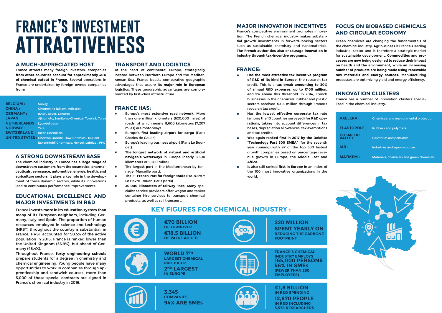# **france's investment attractiveness**

### **A MUCH-APPRECIATED HOST**

France attracts many foreign investors: companies **from other countries account for approximately 40% of chemical output in France.** Several operations in France are undertaken by foreign-owned companies from:

| <b>BELGIUM:</b>                     | Solvay                                                      |
|-------------------------------------|-------------------------------------------------------------|
| <b>CHINA :</b>                      | <b>Chemchina (Elkem, Adisseo)</b>                           |
| <b>GERMANY:</b>                     | <b>BASF, Bayer, Lanxess</b>                                 |
| <b>JAPAN:</b>                       | Ajinomoto, Sumitomo Chemical, Toyo Ink, Toray               |
| <b>NETHERLANDS: Lyondellbasell</b>  |                                                             |
| <b>NORWAY:</b>                      | Yara                                                        |
| <b>SWITZERLAND: Ineos Chemicals</b> |                                                             |
|                                     | <b>UNITED STATES: Chevron Oronite, Dow Chemical, DuPont</b> |
|                                     | ExxonMobil Chemicals, Hexcel, Lubrizol, PPG                 |
|                                     |                                                             |

### **A STRONG DOWNSTREAM BASE**

The chemical industry in France **has a large range of downstream customers from the cosmetics, pharmaceuticals, aerospace, automotive, energy, health, and agriculture sectors.** It plays a key role in the development of these dynamic sectors, while its innovations lead to continuous performance improvements.

- Europe's most extensive road network. More than one million kilometers (620,000 miles) of roads, of which nearly 11,600 kilometers (7,207 miles) are motorways.
- **Europe's first leading airport for cargo (Paris** Charles de Gaulle).
- Europe's leading business airport (Paris Le Bourget).
- **EXECUTE:** The longest network of natural and artificial **navigable waterways** in Europe (nearly 8,500 kilometers or 5,280 miles).
- **EXECUTE:** The largest port in the Mediterranean by tonnage (Marseille port).
- **The 1st French Port for foreign trade (HAROPA =** Le Havre-Rouen-Paris ports)
- 30,000 kilometers of railway lines. Many specialist service providers offer wagon and tanker container hire services to transport chemical products, as well as rail transport.

### **EDUCATIONAL EXCELLENCE AND MAJOR INVESTMENTS IN R&D**

### **TRANSPORT AND LOGISTICS**

At the heart of continental Europe, strategically located between Northern Europe and the Mediterranean Sea, France boasts comparative geographic advantages that assure **its major role in European logistics**. These geographic advantages are complemented by first-class infrastructure.

### **FRANCE HAS:**

- **Has the most attractive tax incentive program of R&D of its kind in Europe:** the research tax credit. This is a **tax break amounting to 30% of annual R&D expenses, up to €100 million, and 5% above this threshold.** In 2014, French businesses in the chemicals, rubber and plastic sectors received €318 million through France's research tax credit.
- Has the lowest effective corporate tax rate (among the 10 countries surveyed) **for R&D operations,** taking into account differences in tax bases, depreciation allowances, tax exemptions and tax credits.
- ◊ **Was again ranked first in 2017 by the Deloitte "Technology Fast 500 EMEA"** (for the seventh year running) with 97 of the top 500 fastest growth companies based on percentage revenue growth in Europe, the Middle East and Africa.
- Is also still ranked first in Europe in an index of the 100 most innovative organizations in the world.

**many of its European neighbors,** including Germany, Italy and Spain. The proportion of human resources employed in science and technology (HRST) throughout the country is substantial: in France, HRST accounted for 50.5% of the active population in 2016. France is ranked lower than the United Kingdom (56.9%), but ahead of Germany (48.4%).



Throughout France, **forty engineering schools**  prepare students for a degree in chemistry and chemical engineering. Young people have many opportunities to work in companies through apprenticeship and sandwich courses: more than 5,000 of these special contracts are signed in France's chemical industry in 2016.

### **MAJOR INNOVATION INCENTIVES**

France's competitive environment promotes innovation. The French chemical industry makes substantial growth investments in forward-looking sectors such as sustainable chemistry and nanomaterials. **The French authorities also encourage innovation in industry through tax-incentive programs.** 

### **FRANCE:**

### **FOCUS ON BIOBASED CHEMICALS AND CIRCULAR ECONOMY**

Green chemicals are changing the fundamentals of the chemical industry. Agribusiness is France's leading industrial sector and is therefore a strategic market for sustainable development. **Commodities and processes are now being designed to reduce their impact on health and the environment, while an increasing number of products are being made using renewable raw materials and energy sources.** Manufacturing processes are optimizing yield and energy efficiency.

### **INNOVATION CLUSTERS**

France has a number of innovation clusters specialized in the chemical industry:

| <b>AXELERA:</b>             | <b>Chemicals and environmental protection</b> |
|-----------------------------|-----------------------------------------------|
| <b>ELASTOPÔLE:</b>          | <b>Rubbers and polymers</b>                   |
| <b>COSMETIC<br/>VALLEY:</b> | <b>Cosmetics and perfumes</b>                 |
| IAR:                        | Industries and agro-resources                 |
| <b>MATIKEM:</b>             | Materials, chemicals and green chemicals      |



**5,578 RESEARCHERS**

## France invests more in its education system than **KEY FIGURES FOR CHEMICAL INDUSTRY** :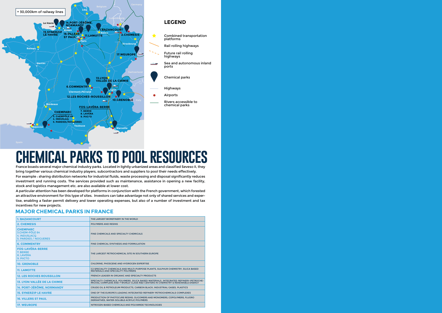

# **chemical parks to pool resources**

France boasts several major chemical industry parks. Located in lightly urbanized areas and classified Seveso II, they bring together various chemical industry players, subcontractors and suppliers to pool their needs effectively. For example : sharing distribution networks for industrial fluids, waste processing and disposal significantly reduces investment and running costs. The services provided such as maintenance, assistance in opening a new facility, stock and logistics management etc. are also available at lower cost.

A particular attention has been developed for platforms in conjunction with the French government, which forested an attractive environment for this type of sites. Investors can take advantage not only of shared services and expertise, enabling a faster permit delivery and lower operating expenses, but also of a number of investment and tax incentives for new projects.

| <b>1. BAZANCOURT</b>                                                       | THE LARGEST BIOREFINERY IN THE WORLD                                                                                                                                  |
|----------------------------------------------------------------------------|-----------------------------------------------------------------------------------------------------------------------------------------------------------------------|
| <b>2. CHEMESIS</b>                                                         | <b>POLYMERS AND RESINS</b>                                                                                                                                            |
| <b>CHEMPARC</b><br>3.CHEM-PÔLE 64<br>4. INDUSLACQ<br>5. PARDIES / NOGUERES | <b>FINE CHEMICALS AND SPECIALTY CHEMICALS</b>                                                                                                                         |
| <b>6. COMMENTRY</b>                                                        | FINE CHEMICAL SYNTHESIS AND FORMULATION                                                                                                                               |
| <b>FOS-LAVÉRA-BERRE</b><br>7. BERRE<br>8. LAVÉRA<br>9. PIICTO              | THE LARGEST PETROCHEMICAL SITE IN SOUTHERN EUROPE                                                                                                                     |
| <b>10. GRENOBLE</b>                                                        | CHLORINE, PHOSGENE AND HYDROGEN EXPERTISE                                                                                                                             |
| <b>11. LAMOTTE</b>                                                         | C2 SPECIALITY CHEMICALS AND MULTI-PURPOSE PLANTS, SULPHUR CHEMISTRY, SILICA BASED<br><b>MATERIALS AND SPECIALITY POLYMERS</b>                                         |
| <b>12. LES ROCHES ROUSSILLON</b>                                           | <b>FRENCH LEADER IN ORGANIC AND SPECIALTY PRODUCTS</b>                                                                                                                |
| <b>13. LYON VALLÉE DE LA CHIMIE</b>                                        | SPECIALTY CHEMICALS, POLYMERS, SILICA BASED MATERIALS, INTEGRATED REFINERY-PETROCHE-<br>MICHAL COMPLEXE AND 7 WORLD-CLASS R&D CENTERS IN CHEMISTRY & RENEWABLE ENERGY |
| <b>14. PORT-JÉRÔME, NORMANDY</b>                                           | CRUDE OIL & PETROLEUM PRODUCTS, CARBON BLACK, INDUSTRIAL GASES, PLASTICS                                                                                              |
| <b>15. SYNERZIP LE HAVRE</b>                                               | ONE OF THE EUROPE'S LEADING INTEGRATED REFINERY PETROCHEMICALS COMPLEXES                                                                                              |
| <b>16. VILLERS ST PAUL</b>                                                 | PRODUCTION OF PHOTOCURE RESINS, OLIGOMERS AND MONOMERS, COPOLYMERS, FLUORO<br>DERIVATIVES, WATER-SOLUBLE ACRYLIC POLYMERS                                             |
| <b>17. WEUROPE</b>                                                         | NITROGEN-BASED CHEMICALS AND POLYAMIDE TECHNOLOGIES                                                                                                                   |

### **MAJOR CHEMICAL PARKS IN FRANCE**